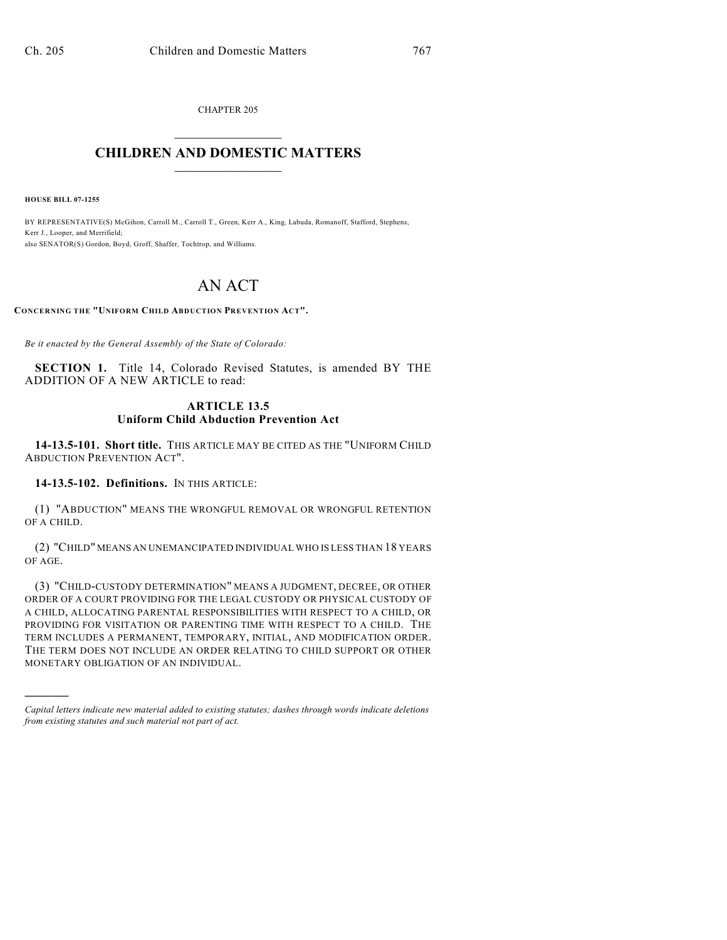CHAPTER 205  $\mathcal{L}_\text{max}$  . The set of the set of the set of the set of the set of the set of the set of the set of the set of the set of the set of the set of the set of the set of the set of the set of the set of the set of the set

### **CHILDREN AND DOMESTIC MATTERS**  $\_$

**HOUSE BILL 07-1255**

)))))

BY REPRESENTATIVE(S) McGihon, Carroll M., Carroll T., Green, Kerr A., King, Labuda, Romanoff, Stafford, Stephens, Kerr J., Looper, and Merrifield; also SENATOR(S) Gordon, Boyd, Groff, Shaffer, Tochtrop, and Williams.

# AN ACT

**CONCERNING THE "UNIFORM CHILD ABDUCTION PREVENTION ACT".**

*Be it enacted by the General Assembly of the State of Colorado:*

**SECTION 1.** Title 14, Colorado Revised Statutes, is amended BY THE ADDITION OF A NEW ARTICLE to read:

#### **ARTICLE 13.5 Uniform Child Abduction Prevention Act**

**14-13.5-101. Short title.** THIS ARTICLE MAY BE CITED AS THE "UNIFORM CHILD ABDUCTION PREVENTION ACT".

#### **14-13.5-102. Definitions.** IN THIS ARTICLE:

(1) "ABDUCTION" MEANS THE WRONGFUL REMOVAL OR WRONGFUL RETENTION OF A CHILD.

(2) "CHILD" MEANS AN UNEMANCIPATED INDIVIDUAL WHO IS LESS THAN 18 YEARS OF AGE.

(3) "CHILD-CUSTODY DETERMINATION" MEANS A JUDGMENT, DECREE, OR OTHER ORDER OF A COURT PROVIDING FOR THE LEGAL CUSTODY OR PHYSICAL CUSTODY OF A CHILD, ALLOCATING PARENTAL RESPONSIBILITIES WITH RESPECT TO A CHILD, OR PROVIDING FOR VISITATION OR PARENTING TIME WITH RESPECT TO A CHILD. THE TERM INCLUDES A PERMANENT, TEMPORARY, INITIAL, AND MODIFICATION ORDER. THE TERM DOES NOT INCLUDE AN ORDER RELATING TO CHILD SUPPORT OR OTHER MONETARY OBLIGATION OF AN INDIVIDUAL.

*Capital letters indicate new material added to existing statutes; dashes through words indicate deletions from existing statutes and such material not part of act.*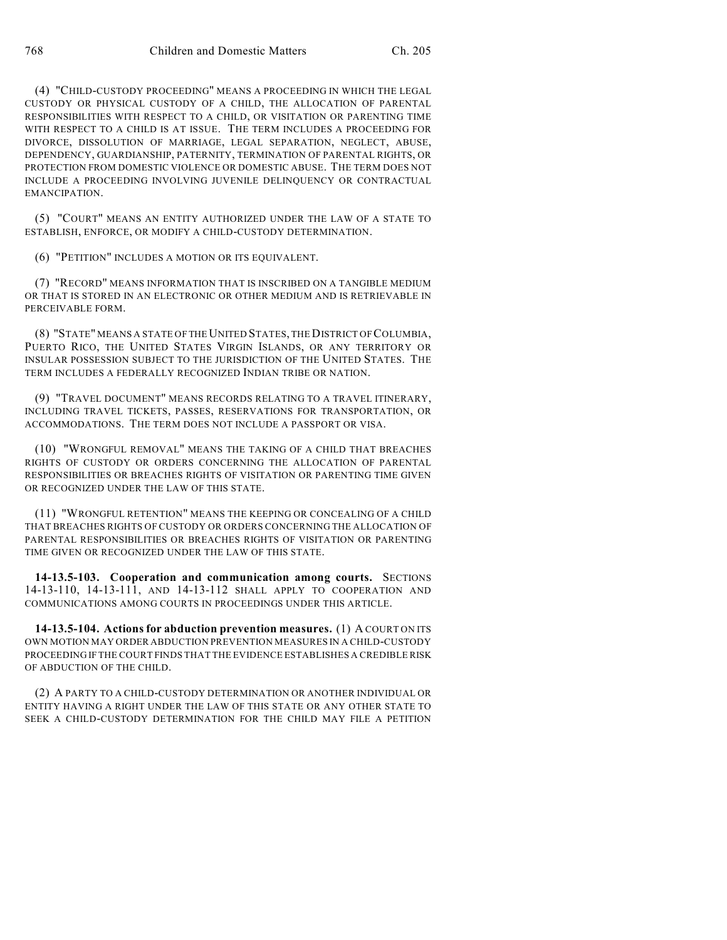(4) "CHILD-CUSTODY PROCEEDING" MEANS A PROCEEDING IN WHICH THE LEGAL CUSTODY OR PHYSICAL CUSTODY OF A CHILD, THE ALLOCATION OF PARENTAL RESPONSIBILITIES WITH RESPECT TO A CHILD, OR VISITATION OR PARENTING TIME WITH RESPECT TO A CHILD IS AT ISSUE. THE TERM INCLUDES A PROCEEDING FOR DIVORCE, DISSOLUTION OF MARRIAGE, LEGAL SEPARATION, NEGLECT, ABUSE, DEPENDENCY, GUARDIANSHIP, PATERNITY, TERMINATION OF PARENTAL RIGHTS, OR PROTECTION FROM DOMESTIC VIOLENCE OR DOMESTIC ABUSE. THE TERM DOES NOT INCLUDE A PROCEEDING INVOLVING JUVENILE DELINQUENCY OR CONTRACTUAL EMANCIPATION.

(5) "COURT" MEANS AN ENTITY AUTHORIZED UNDER THE LAW OF A STATE TO ESTABLISH, ENFORCE, OR MODIFY A CHILD-CUSTODY DETERMINATION.

(6) "PETITION" INCLUDES A MOTION OR ITS EQUIVALENT.

(7) "RECORD" MEANS INFORMATION THAT IS INSCRIBED ON A TANGIBLE MEDIUM OR THAT IS STORED IN AN ELECTRONIC OR OTHER MEDIUM AND IS RETRIEVABLE IN PERCEIVABLE FORM.

(8) "STATE" MEANS A STATE OF THE UNITED STATES, THE DISTRICT OF COLUMBIA, PUERTO RICO, THE UNITED STATES VIRGIN ISLANDS, OR ANY TERRITORY OR INSULAR POSSESSION SUBJECT TO THE JURISDICTION OF THE UNITED STATES. THE TERM INCLUDES A FEDERALLY RECOGNIZED INDIAN TRIBE OR NATION.

(9) "TRAVEL DOCUMENT" MEANS RECORDS RELATING TO A TRAVEL ITINERARY, INCLUDING TRAVEL TICKETS, PASSES, RESERVATIONS FOR TRANSPORTATION, OR ACCOMMODATIONS. THE TERM DOES NOT INCLUDE A PASSPORT OR VISA.

(10) "WRONGFUL REMOVAL" MEANS THE TAKING OF A CHILD THAT BREACHES RIGHTS OF CUSTODY OR ORDERS CONCERNING THE ALLOCATION OF PARENTAL RESPONSIBILITIES OR BREACHES RIGHTS OF VISITATION OR PARENTING TIME GIVEN OR RECOGNIZED UNDER THE LAW OF THIS STATE.

(11) "WRONGFUL RETENTION" MEANS THE KEEPING OR CONCEALING OF A CHILD THAT BREACHES RIGHTS OF CUSTODY OR ORDERS CONCERNING THE ALLOCATION OF PARENTAL RESPONSIBILITIES OR BREACHES RIGHTS OF VISITATION OR PARENTING TIME GIVEN OR RECOGNIZED UNDER THE LAW OF THIS STATE.

**14-13.5-103. Cooperation and communication among courts.** SECTIONS 14-13-110, 14-13-111, AND 14-13-112 SHALL APPLY TO COOPERATION AND COMMUNICATIONS AMONG COURTS IN PROCEEDINGS UNDER THIS ARTICLE.

**14-13.5-104. Actions for abduction prevention measures.** (1) A COURT ON ITS OWN MOTION MAY ORDER ABDUCTION PREVENTION MEASURES IN A CHILD-CUSTODY PROCEEDING IF THE COURT FINDS THAT THE EVIDENCE ESTABLISHES A CREDIBLE RISK OF ABDUCTION OF THE CHILD.

(2) A PARTY TO A CHILD-CUSTODY DETERMINATION OR ANOTHER INDIVIDUAL OR ENTITY HAVING A RIGHT UNDER THE LAW OF THIS STATE OR ANY OTHER STATE TO SEEK A CHILD-CUSTODY DETERMINATION FOR THE CHILD MAY FILE A PETITION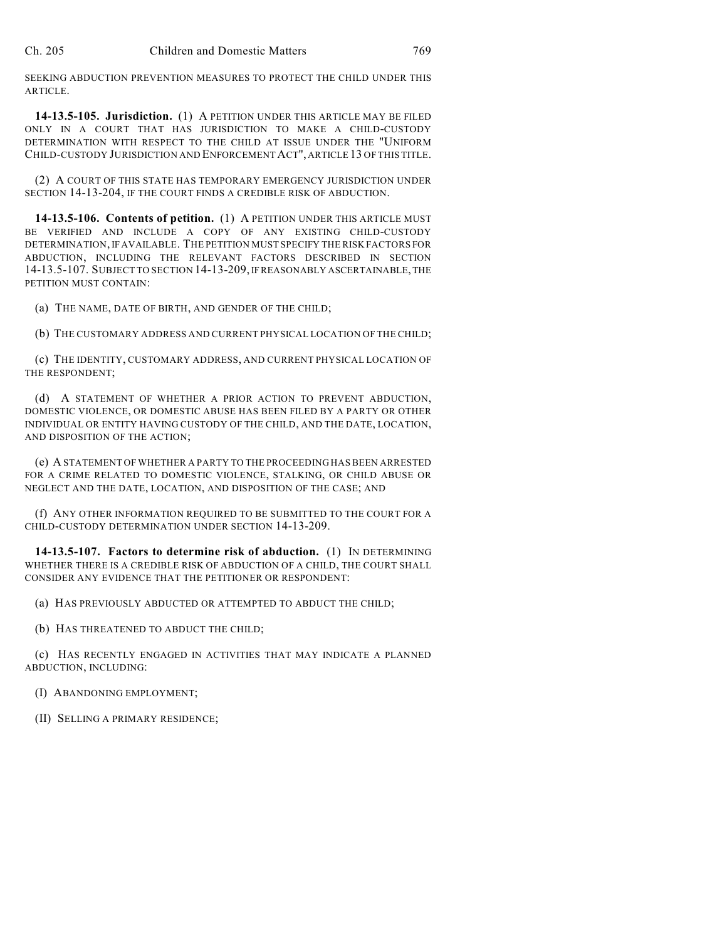SEEKING ABDUCTION PREVENTION MEASURES TO PROTECT THE CHILD UNDER THIS ARTICLE.

**14-13.5-105. Jurisdiction.** (1) A PETITION UNDER THIS ARTICLE MAY BE FILED ONLY IN A COURT THAT HAS JURISDICTION TO MAKE A CHILD-CUSTODY DETERMINATION WITH RESPECT TO THE CHILD AT ISSUE UNDER THE "UNIFORM CHILD-CUSTODY JURISDICTION AND ENFORCEMENT ACT", ARTICLE 13 OF THIS TITLE.

(2) A COURT OF THIS STATE HAS TEMPORARY EMERGENCY JURISDICTION UNDER SECTION 14-13-204, IF THE COURT FINDS A CREDIBLE RISK OF ABDUCTION.

**14-13.5-106. Contents of petition.** (1) A PETITION UNDER THIS ARTICLE MUST BE VERIFIED AND INCLUDE A COPY OF ANY EXISTING CHILD-CUSTODY DETERMINATION, IF AVAILABLE. THE PETITION MUST SPECIFY THE RISK FACTORS FOR ABDUCTION, INCLUDING THE RELEVANT FACTORS DESCRIBED IN SECTION 14-13.5-107. SUBJECT TO SECTION 14-13-209, IF REASONABLY ASCERTAINABLE, THE PETITION MUST CONTAIN:

(a) THE NAME, DATE OF BIRTH, AND GENDER OF THE CHILD;

(b) THE CUSTOMARY ADDRESS AND CURRENT PHYSICAL LOCATION OF THE CHILD;

(c) THE IDENTITY, CUSTOMARY ADDRESS, AND CURRENT PHYSICAL LOCATION OF THE RESPONDENT;

(d) A STATEMENT OF WHETHER A PRIOR ACTION TO PREVENT ABDUCTION, DOMESTIC VIOLENCE, OR DOMESTIC ABUSE HAS BEEN FILED BY A PARTY OR OTHER INDIVIDUAL OR ENTITY HAVING CUSTODY OF THE CHILD, AND THE DATE, LOCATION, AND DISPOSITION OF THE ACTION;

(e) A STATEMENT OF WHETHER A PARTY TO THE PROCEEDING HAS BEEN ARRESTED FOR A CRIME RELATED TO DOMESTIC VIOLENCE, STALKING, OR CHILD ABUSE OR NEGLECT AND THE DATE, LOCATION, AND DISPOSITION OF THE CASE; AND

(f) ANY OTHER INFORMATION REQUIRED TO BE SUBMITTED TO THE COURT FOR A CHILD-CUSTODY DETERMINATION UNDER SECTION 14-13-209.

**14-13.5-107. Factors to determine risk of abduction.** (1) IN DETERMINING WHETHER THERE IS A CREDIBLE RISK OF ABDUCTION OF A CHILD, THE COURT SHALL CONSIDER ANY EVIDENCE THAT THE PETITIONER OR RESPONDENT:

(a) HAS PREVIOUSLY ABDUCTED OR ATTEMPTED TO ABDUCT THE CHILD;

(b) HAS THREATENED TO ABDUCT THE CHILD;

(c) HAS RECENTLY ENGAGED IN ACTIVITIES THAT MAY INDICATE A PLANNED ABDUCTION, INCLUDING:

(I) ABANDONING EMPLOYMENT;

(II) SELLING A PRIMARY RESIDENCE;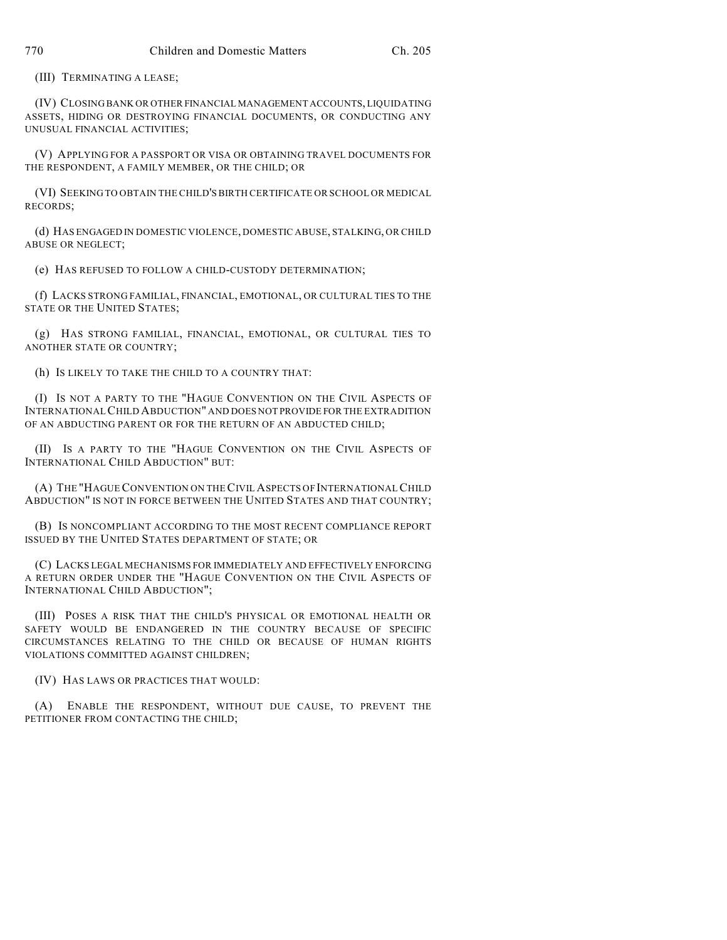(III) TERMINATING A LEASE;

(IV) CLOSING BANK OR OTHER FINANCIAL MANAGEMENT ACCOUNTS, LIQUIDATING ASSETS, HIDING OR DESTROYING FINANCIAL DOCUMENTS, OR CONDUCTING ANY UNUSUAL FINANCIAL ACTIVITIES;

(V) APPLYING FOR A PASSPORT OR VISA OR OBTAINING TRAVEL DOCUMENTS FOR THE RESPONDENT, A FAMILY MEMBER, OR THE CHILD; OR

(VI) SEEKING TO OBTAIN THE CHILD'S BIRTH CERTIFICATE OR SCHOOL OR MEDICAL RECORDS;

(d) HAS ENGAGED IN DOMESTIC VIOLENCE, DOMESTIC ABUSE, STALKING, OR CHILD ABUSE OR NEGLECT;

(e) HAS REFUSED TO FOLLOW A CHILD-CUSTODY DETERMINATION;

(f) LACKS STRONG FAMILIAL, FINANCIAL, EMOTIONAL, OR CULTURAL TIES TO THE STATE OR THE UNITED STATES;

(g) HAS STRONG FAMILIAL, FINANCIAL, EMOTIONAL, OR CULTURAL TIES TO ANOTHER STATE OR COUNTRY;

(h) IS LIKELY TO TAKE THE CHILD TO A COUNTRY THAT:

(I) IS NOT A PARTY TO THE "HAGUE CONVENTION ON THE CIVIL ASPECTS OF INTERNATIONAL CHILD ABDUCTION" AND DOES NOT PROVIDE FOR THE EXTRADITION OF AN ABDUCTING PARENT OR FOR THE RETURN OF AN ABDUCTED CHILD;

(II) IS A PARTY TO THE "HAGUE CONVENTION ON THE CIVIL ASPECTS OF INTERNATIONAL CHILD ABDUCTION" BUT:

(A) THE "HAGUE CONVENTION ON THE CIVIL ASPECTS OF INTERNATIONAL CHILD ABDUCTION" IS NOT IN FORCE BETWEEN THE UNITED STATES AND THAT COUNTRY;

(B) IS NONCOMPLIANT ACCORDING TO THE MOST RECENT COMPLIANCE REPORT ISSUED BY THE UNITED STATES DEPARTMENT OF STATE; OR

(C) LACKS LEGAL MECHANISMS FOR IMMEDIATELY AND EFFECTIVELY ENFORCING A RETURN ORDER UNDER THE "HAGUE CONVENTION ON THE CIVIL ASPECTS OF INTERNATIONAL CHILD ABDUCTION";

(III) POSES A RISK THAT THE CHILD'S PHYSICAL OR EMOTIONAL HEALTH OR SAFETY WOULD BE ENDANGERED IN THE COUNTRY BECAUSE OF SPECIFIC CIRCUMSTANCES RELATING TO THE CHILD OR BECAUSE OF HUMAN RIGHTS VIOLATIONS COMMITTED AGAINST CHILDREN;

(IV) HAS LAWS OR PRACTICES THAT WOULD:

(A) ENABLE THE RESPONDENT, WITHOUT DUE CAUSE, TO PREVENT THE PETITIONER FROM CONTACTING THE CHILD;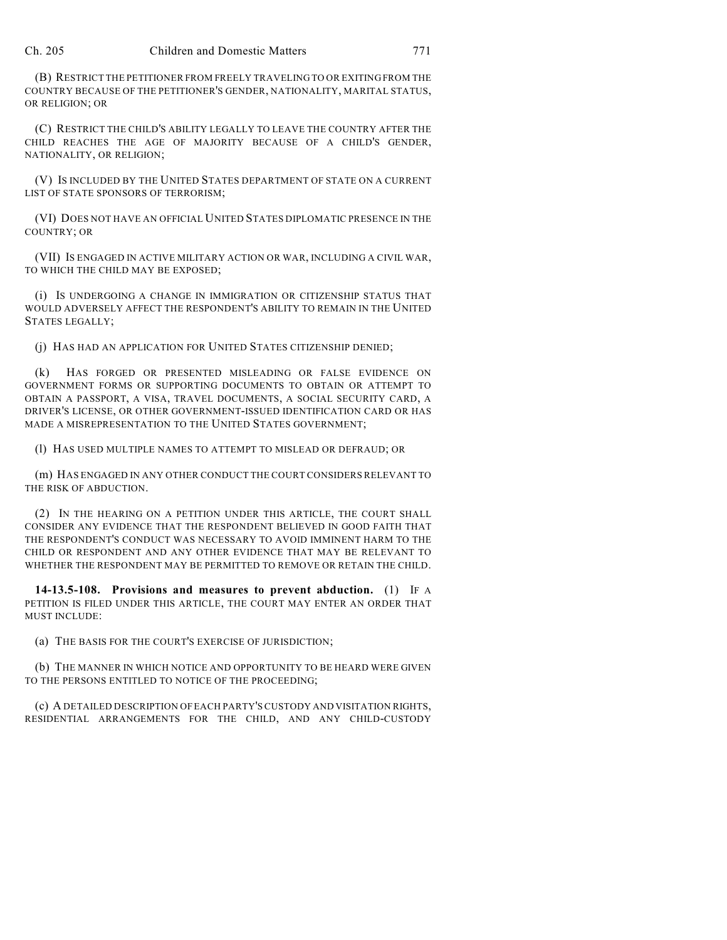(B) RESTRICT THE PETITIONER FROM FREELY TRAVELING TO OR EXITING FROM THE COUNTRY BECAUSE OF THE PETITIONER'S GENDER, NATIONALITY, MARITAL STATUS, OR RELIGION; OR

(C) RESTRICT THE CHILD'S ABILITY LEGALLY TO LEAVE THE COUNTRY AFTER THE CHILD REACHES THE AGE OF MAJORITY BECAUSE OF A CHILD'S GENDER, NATIONALITY, OR RELIGION;

(V) IS INCLUDED BY THE UNITED STATES DEPARTMENT OF STATE ON A CURRENT LIST OF STATE SPONSORS OF TERRORISM;

(VI) DOES NOT HAVE AN OFFICIAL UNITED STATES DIPLOMATIC PRESENCE IN THE COUNTRY; OR

(VII) IS ENGAGED IN ACTIVE MILITARY ACTION OR WAR, INCLUDING A CIVIL WAR, TO WHICH THE CHILD MAY BE EXPOSED;

(i) IS UNDERGOING A CHANGE IN IMMIGRATION OR CITIZENSHIP STATUS THAT WOULD ADVERSELY AFFECT THE RESPONDENT'S ABILITY TO REMAIN IN THE UNITED STATES LEGALLY;

(j) HAS HAD AN APPLICATION FOR UNITED STATES CITIZENSHIP DENIED;

(k) HAS FORGED OR PRESENTED MISLEADING OR FALSE EVIDENCE ON GOVERNMENT FORMS OR SUPPORTING DOCUMENTS TO OBTAIN OR ATTEMPT TO OBTAIN A PASSPORT, A VISA, TRAVEL DOCUMENTS, A SOCIAL SECURITY CARD, A DRIVER'S LICENSE, OR OTHER GOVERNMENT-ISSUED IDENTIFICATION CARD OR HAS MADE A MISREPRESENTATION TO THE UNITED STATES GOVERNMENT;

(l) HAS USED MULTIPLE NAMES TO ATTEMPT TO MISLEAD OR DEFRAUD; OR

(m) HAS ENGAGED IN ANY OTHER CONDUCT THE COURT CONSIDERS RELEVANT TO THE RISK OF ABDUCTION.

(2) IN THE HEARING ON A PETITION UNDER THIS ARTICLE, THE COURT SHALL CONSIDER ANY EVIDENCE THAT THE RESPONDENT BELIEVED IN GOOD FAITH THAT THE RESPONDENT'S CONDUCT WAS NECESSARY TO AVOID IMMINENT HARM TO THE CHILD OR RESPONDENT AND ANY OTHER EVIDENCE THAT MAY BE RELEVANT TO WHETHER THE RESPONDENT MAY BE PERMITTED TO REMOVE OR RETAIN THE CHILD.

**14-13.5-108. Provisions and measures to prevent abduction.** (1) IF A PETITION IS FILED UNDER THIS ARTICLE, THE COURT MAY ENTER AN ORDER THAT MUST INCLUDE:

(a) THE BASIS FOR THE COURT'S EXERCISE OF JURISDICTION;

(b) THE MANNER IN WHICH NOTICE AND OPPORTUNITY TO BE HEARD WERE GIVEN TO THE PERSONS ENTITLED TO NOTICE OF THE PROCEEDING;

(c) A DETAILED DESCRIPTION OF EACH PARTY'S CUSTODY AND VISITATION RIGHTS, RESIDENTIAL ARRANGEMENTS FOR THE CHILD, AND ANY CHILD-CUSTODY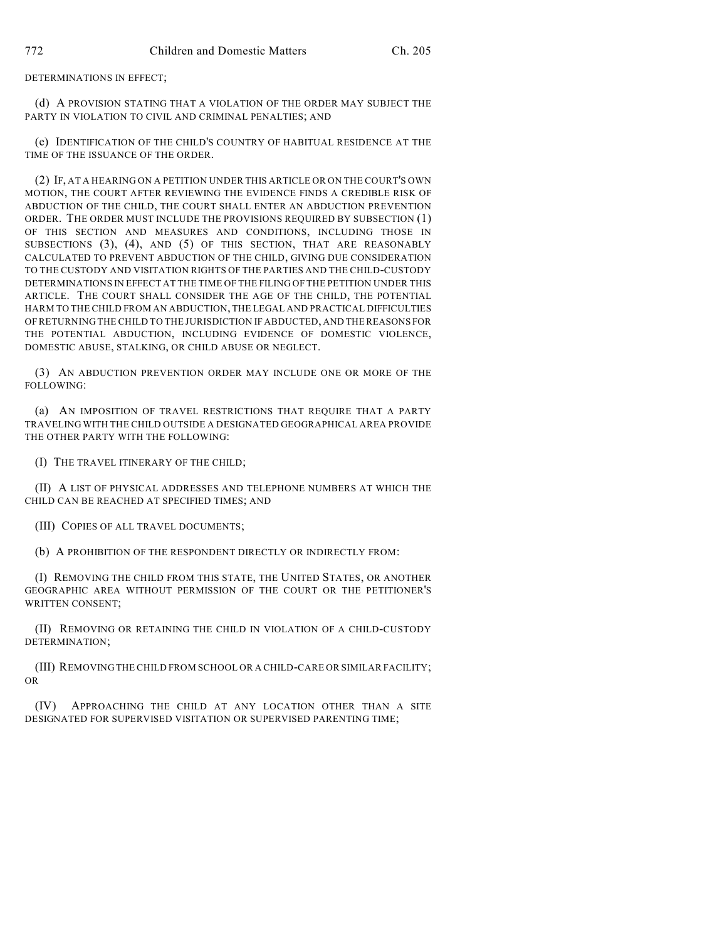DETERMINATIONS IN EFFECT;

(d) A PROVISION STATING THAT A VIOLATION OF THE ORDER MAY SUBJECT THE PARTY IN VIOLATION TO CIVIL AND CRIMINAL PENALTIES; AND

(e) IDENTIFICATION OF THE CHILD'S COUNTRY OF HABITUAL RESIDENCE AT THE TIME OF THE ISSUANCE OF THE ORDER.

(2) IF, AT A HEARING ON A PETITION UNDER THIS ARTICLE OR ON THE COURT'S OWN MOTION, THE COURT AFTER REVIEWING THE EVIDENCE FINDS A CREDIBLE RISK OF ABDUCTION OF THE CHILD, THE COURT SHALL ENTER AN ABDUCTION PREVENTION ORDER. THE ORDER MUST INCLUDE THE PROVISIONS REQUIRED BY SUBSECTION (1) OF THIS SECTION AND MEASURES AND CONDITIONS, INCLUDING THOSE IN SUBSECTIONS (3), (4), AND (5) OF THIS SECTION, THAT ARE REASONABLY CALCULATED TO PREVENT ABDUCTION OF THE CHILD, GIVING DUE CONSIDERATION TO THE CUSTODY AND VISITATION RIGHTS OF THE PARTIES AND THE CHILD-CUSTODY DETERMINATIONS IN EFFECT AT THE TIME OF THE FILING OF THE PETITION UNDER THIS ARTICLE. THE COURT SHALL CONSIDER THE AGE OF THE CHILD, THE POTENTIAL HARM TO THE CHILD FROM AN ABDUCTION, THE LEGAL AND PRACTICAL DIFFICULTIES OF RETURNING THE CHILD TO THE JURISDICTION IF ABDUCTED, AND THE REASONS FOR THE POTENTIAL ABDUCTION, INCLUDING EVIDENCE OF DOMESTIC VIOLENCE, DOMESTIC ABUSE, STALKING, OR CHILD ABUSE OR NEGLECT.

(3) AN ABDUCTION PREVENTION ORDER MAY INCLUDE ONE OR MORE OF THE FOLLOWING:

(a) AN IMPOSITION OF TRAVEL RESTRICTIONS THAT REQUIRE THAT A PARTY TRAVELING WITH THE CHILD OUTSIDE A DESIGNATED GEOGRAPHICAL AREA PROVIDE THE OTHER PARTY WITH THE FOLLOWING:

(I) THE TRAVEL ITINERARY OF THE CHILD;

(II) A LIST OF PHYSICAL ADDRESSES AND TELEPHONE NUMBERS AT WHICH THE CHILD CAN BE REACHED AT SPECIFIED TIMES; AND

(III) COPIES OF ALL TRAVEL DOCUMENTS;

(b) A PROHIBITION OF THE RESPONDENT DIRECTLY OR INDIRECTLY FROM:

(I) REMOVING THE CHILD FROM THIS STATE, THE UNITED STATES, OR ANOTHER GEOGRAPHIC AREA WITHOUT PERMISSION OF THE COURT OR THE PETITIONER'S WRITTEN CONSENT;

(II) REMOVING OR RETAINING THE CHILD IN VIOLATION OF A CHILD-CUSTODY DETERMINATION;

(III) REMOVING THE CHILD FROM SCHOOL OR A CHILD-CARE OR SIMILAR FACILITY; OR

(IV) APPROACHING THE CHILD AT ANY LOCATION OTHER THAN A SITE DESIGNATED FOR SUPERVISED VISITATION OR SUPERVISED PARENTING TIME;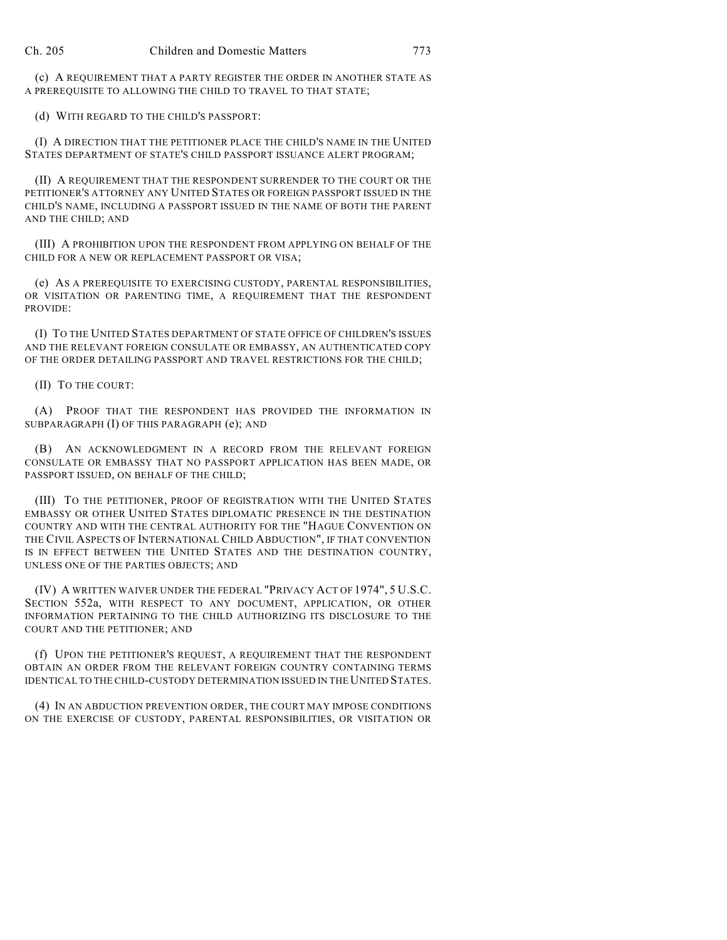(c) A REQUIREMENT THAT A PARTY REGISTER THE ORDER IN ANOTHER STATE AS A PREREQUISITE TO ALLOWING THE CHILD TO TRAVEL TO THAT STATE;

(d) WITH REGARD TO THE CHILD'S PASSPORT:

(I) A DIRECTION THAT THE PETITIONER PLACE THE CHILD'S NAME IN THE UNITED STATES DEPARTMENT OF STATE'S CHILD PASSPORT ISSUANCE ALERT PROGRAM;

(II) A REQUIREMENT THAT THE RESPONDENT SURRENDER TO THE COURT OR THE PETITIONER'S ATTORNEY ANY UNITED STATES OR FOREIGN PASSPORT ISSUED IN THE CHILD'S NAME, INCLUDING A PASSPORT ISSUED IN THE NAME OF BOTH THE PARENT AND THE CHILD; AND

(III) A PROHIBITION UPON THE RESPONDENT FROM APPLYING ON BEHALF OF THE CHILD FOR A NEW OR REPLACEMENT PASSPORT OR VISA;

(e) AS A PREREQUISITE TO EXERCISING CUSTODY, PARENTAL RESPONSIBILITIES, OR VISITATION OR PARENTING TIME, A REQUIREMENT THAT THE RESPONDENT PROVIDE:

(I) TO THE UNITED STATES DEPARTMENT OF STATE OFFICE OF CHILDREN'S ISSUES AND THE RELEVANT FOREIGN CONSULATE OR EMBASSY, AN AUTHENTICATED COPY OF THE ORDER DETAILING PASSPORT AND TRAVEL RESTRICTIONS FOR THE CHILD;

(II) TO THE COURT:

(A) PROOF THAT THE RESPONDENT HAS PROVIDED THE INFORMATION IN SUBPARAGRAPH (I) OF THIS PARAGRAPH (e); AND

(B) AN ACKNOWLEDGMENT IN A RECORD FROM THE RELEVANT FOREIGN CONSULATE OR EMBASSY THAT NO PASSPORT APPLICATION HAS BEEN MADE, OR PASSPORT ISSUED, ON BEHALF OF THE CHILD;

(III) TO THE PETITIONER, PROOF OF REGISTRATION WITH THE UNITED STATES EMBASSY OR OTHER UNITED STATES DIPLOMATIC PRESENCE IN THE DESTINATION COUNTRY AND WITH THE CENTRAL AUTHORITY FOR THE "HAGUE CONVENTION ON THE CIVIL ASPECTS OF INTERNATIONAL CHILD ABDUCTION", IF THAT CONVENTION IS IN EFFECT BETWEEN THE UNITED STATES AND THE DESTINATION COUNTRY, UNLESS ONE OF THE PARTIES OBJECTS; AND

(IV) A WRITTEN WAIVER UNDER THE FEDERAL "PRIVACY ACT OF 1974", 5 U.S.C. SECTION 552a, WITH RESPECT TO ANY DOCUMENT, APPLICATION, OR OTHER INFORMATION PERTAINING TO THE CHILD AUTHORIZING ITS DISCLOSURE TO THE COURT AND THE PETITIONER; AND

(f) UPON THE PETITIONER'S REQUEST, A REQUIREMENT THAT THE RESPONDENT OBTAIN AN ORDER FROM THE RELEVANT FOREIGN COUNTRY CONTAINING TERMS IDENTICAL TO THE CHILD-CUSTODY DETERMINATION ISSUED IN THE UNITED STATES.

(4) IN AN ABDUCTION PREVENTION ORDER, THE COURT MAY IMPOSE CONDITIONS ON THE EXERCISE OF CUSTODY, PARENTAL RESPONSIBILITIES, OR VISITATION OR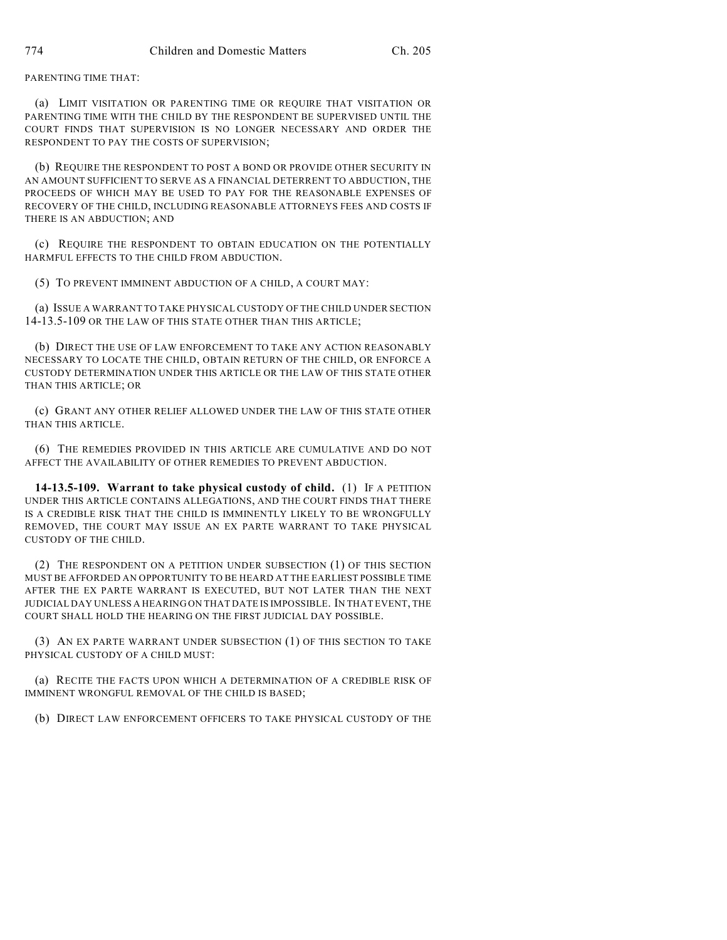PARENTING TIME THAT:

(a) LIMIT VISITATION OR PARENTING TIME OR REQUIRE THAT VISITATION OR PARENTING TIME WITH THE CHILD BY THE RESPONDENT BE SUPERVISED UNTIL THE COURT FINDS THAT SUPERVISION IS NO LONGER NECESSARY AND ORDER THE RESPONDENT TO PAY THE COSTS OF SUPERVISION;

(b) REQUIRE THE RESPONDENT TO POST A BOND OR PROVIDE OTHER SECURITY IN AN AMOUNT SUFFICIENT TO SERVE AS A FINANCIAL DETERRENT TO ABDUCTION, THE PROCEEDS OF WHICH MAY BE USED TO PAY FOR THE REASONABLE EXPENSES OF RECOVERY OF THE CHILD, INCLUDING REASONABLE ATTORNEYS FEES AND COSTS IF THERE IS AN ABDUCTION; AND

(c) REQUIRE THE RESPONDENT TO OBTAIN EDUCATION ON THE POTENTIALLY HARMFUL EFFECTS TO THE CHILD FROM ABDUCTION.

(5) TO PREVENT IMMINENT ABDUCTION OF A CHILD, A COURT MAY:

(a) ISSUE A WARRANT TO TAKE PHYSICAL CUSTODY OF THE CHILD UNDER SECTION 14-13.5-109 OR THE LAW OF THIS STATE OTHER THAN THIS ARTICLE;

(b) DIRECT THE USE OF LAW ENFORCEMENT TO TAKE ANY ACTION REASONABLY NECESSARY TO LOCATE THE CHILD, OBTAIN RETURN OF THE CHILD, OR ENFORCE A CUSTODY DETERMINATION UNDER THIS ARTICLE OR THE LAW OF THIS STATE OTHER THAN THIS ARTICLE; OR

(c) GRANT ANY OTHER RELIEF ALLOWED UNDER THE LAW OF THIS STATE OTHER THAN THIS ARTICLE.

(6) THE REMEDIES PROVIDED IN THIS ARTICLE ARE CUMULATIVE AND DO NOT AFFECT THE AVAILABILITY OF OTHER REMEDIES TO PREVENT ABDUCTION.

**14-13.5-109. Warrant to take physical custody of child.** (1) IF A PETITION UNDER THIS ARTICLE CONTAINS ALLEGATIONS, AND THE COURT FINDS THAT THERE IS A CREDIBLE RISK THAT THE CHILD IS IMMINENTLY LIKELY TO BE WRONGFULLY REMOVED, THE COURT MAY ISSUE AN EX PARTE WARRANT TO TAKE PHYSICAL CUSTODY OF THE CHILD.

(2) THE RESPONDENT ON A PETITION UNDER SUBSECTION (1) OF THIS SECTION MUST BE AFFORDED AN OPPORTUNITY TO BE HEARD AT THE EARLIEST POSSIBLE TIME AFTER THE EX PARTE WARRANT IS EXECUTED, BUT NOT LATER THAN THE NEXT JUDICIAL DAY UNLESS A HEARING ON THAT DATE IS IMPOSSIBLE. IN THAT EVENT, THE COURT SHALL HOLD THE HEARING ON THE FIRST JUDICIAL DAY POSSIBLE.

(3) AN EX PARTE WARRANT UNDER SUBSECTION (1) OF THIS SECTION TO TAKE PHYSICAL CUSTODY OF A CHILD MUST:

(a) RECITE THE FACTS UPON WHICH A DETERMINATION OF A CREDIBLE RISK OF IMMINENT WRONGFUL REMOVAL OF THE CHILD IS BASED;

(b) DIRECT LAW ENFORCEMENT OFFICERS TO TAKE PHYSICAL CUSTODY OF THE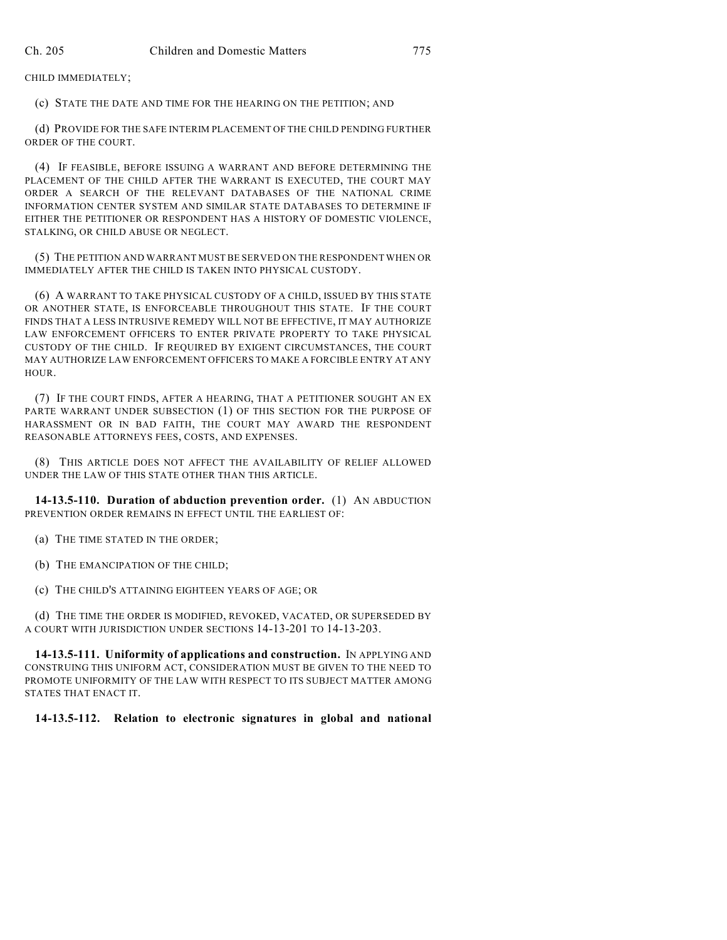CHILD IMMEDIATELY;

(c) STATE THE DATE AND TIME FOR THE HEARING ON THE PETITION; AND

(d) PROVIDE FOR THE SAFE INTERIM PLACEMENT OF THE CHILD PENDING FURTHER ORDER OF THE COURT.

(4) IF FEASIBLE, BEFORE ISSUING A WARRANT AND BEFORE DETERMINING THE PLACEMENT OF THE CHILD AFTER THE WARRANT IS EXECUTED, THE COURT MAY ORDER A SEARCH OF THE RELEVANT DATABASES OF THE NATIONAL CRIME INFORMATION CENTER SYSTEM AND SIMILAR STATE DATABASES TO DETERMINE IF EITHER THE PETITIONER OR RESPONDENT HAS A HISTORY OF DOMESTIC VIOLENCE, STALKING, OR CHILD ABUSE OR NEGLECT.

(5) THE PETITION AND WARRANT MUST BE SERVED ON THE RESPONDENT WHEN OR IMMEDIATELY AFTER THE CHILD IS TAKEN INTO PHYSICAL CUSTODY.

(6) A WARRANT TO TAKE PHYSICAL CUSTODY OF A CHILD, ISSUED BY THIS STATE OR ANOTHER STATE, IS ENFORCEABLE THROUGHOUT THIS STATE. IF THE COURT FINDS THAT A LESS INTRUSIVE REMEDY WILL NOT BE EFFECTIVE, IT MAY AUTHORIZE LAW ENFORCEMENT OFFICERS TO ENTER PRIVATE PROPERTY TO TAKE PHYSICAL CUSTODY OF THE CHILD. IF REQUIRED BY EXIGENT CIRCUMSTANCES, THE COURT MAY AUTHORIZE LAW ENFORCEMENT OFFICERS TO MAKE A FORCIBLE ENTRY AT ANY HOUR.

(7) IF THE COURT FINDS, AFTER A HEARING, THAT A PETITIONER SOUGHT AN EX PARTE WARRANT UNDER SUBSECTION (1) OF THIS SECTION FOR THE PURPOSE OF HARASSMENT OR IN BAD FAITH, THE COURT MAY AWARD THE RESPONDENT REASONABLE ATTORNEYS FEES, COSTS, AND EXPENSES.

(8) THIS ARTICLE DOES NOT AFFECT THE AVAILABILITY OF RELIEF ALLOWED UNDER THE LAW OF THIS STATE OTHER THAN THIS ARTICLE.

**14-13.5-110. Duration of abduction prevention order.** (1) AN ABDUCTION PREVENTION ORDER REMAINS IN EFFECT UNTIL THE EARLIEST OF:

(a) THE TIME STATED IN THE ORDER;

(b) THE EMANCIPATION OF THE CHILD;

(c) THE CHILD'S ATTAINING EIGHTEEN YEARS OF AGE; OR

(d) THE TIME THE ORDER IS MODIFIED, REVOKED, VACATED, OR SUPERSEDED BY A COURT WITH JURISDICTION UNDER SECTIONS 14-13-201 TO 14-13-203.

**14-13.5-111. Uniformity of applications and construction.** IN APPLYING AND CONSTRUING THIS UNIFORM ACT, CONSIDERATION MUST BE GIVEN TO THE NEED TO PROMOTE UNIFORMITY OF THE LAW WITH RESPECT TO ITS SUBJECT MATTER AMONG STATES THAT ENACT IT.

## **14-13.5-112. Relation to electronic signatures in global and national**